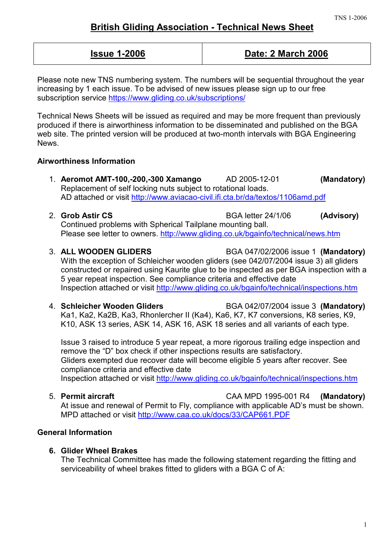# **British Gliding Association - Technical News Sheet**

# **Issue 1-2006 Date: 2 March 2006**

Please note new TNS numbering system. The numbers will be sequential throughout the year increasing by 1 each issue. To be advised of new issues please sign up to our free subscription service <https://www.gliding.co.uk/subscriptions/>

Technical News Sheets will be issued as required and may be more frequent than previously produced if there is airworthiness information to be disseminated and published on the BGA web site. The printed version will be produced at two-month intervals with BGA Engineering **News** 

# **Airworthiness Information**

- 1. **Aeromot AMT-100,-200,-300 Xamango** AD 2005-12-01 **(Mandatory)** Replacement of self locking nuts subject to rotational loads. AD attached or visit<http://www.aviacao-civil.ifi.cta.br/da/textos/1106amd.pdf>
- 2. **Grob Astir CS** BGA letter 24/1/06 **(Advisory)** Continued problems with Spherical Tailplane mounting ball. Please see letter to owners. <http://www.gliding.co.uk/bgainfo/technical/news.htm>
- 3. **ALL WOODEN GLIDERS** BGA 047/02/2006 issue 1 **(Mandatory)**

With the exception of Schleicher wooden gliders (see 042/07/2004 issue 3) all gliders constructed or repaired using Kaurite glue to be inspected as per BGA inspection with a 5 year repeat inspection. See compliance criteria and effective date Inspection attached or visit <http://www.gliding.co.uk/bgainfo/technical/inspections.htm>

4. **Schleicher Wooden Gliders** BGA 042/07/2004 issue 3 **(Mandatory)** Ka1, Ka2, Ka2B, Ka3, Rhonlercher II (Ka4), Ka6, K7, K7 conversions, K8 series, K9, K10, ASK 13 series, ASK 14, ASK 16, ASK 18 series and all variants of each type.

Issue 3 raised to introduce 5 year repeat, a more rigorous trailing edge inspection and remove the "D" box check if other inspections results are satisfactory. Gliders exempted due recover date will become eligible 5 years after recover. See compliance criteria and effective date Inspection attached or visit <http://www.gliding.co.uk/bgainfo/technical/inspections.htm>

# 5. **Permit aircraft** CAA MPD 1995-001 R4 **(Mandatory)**

At issue and renewal of Permit to Fly, compliance with applicable AD's must be shown. MPD attached or visit<http://www.caa.co.uk/docs/33/CAP661.PDF>

# **General Information**

# **6. Glider Wheel Brakes**

The Technical Committee has made the following statement regarding the fitting and serviceability of wheel brakes fitted to gliders with a BGA C of A: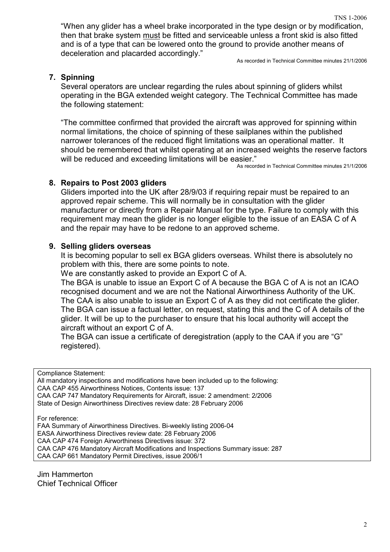TNS 1-2006 "When any glider has a wheel brake incorporated in the type design or by modification, then that brake system must be fitted and serviceable unless a front skid is also fitted and is of a type that can be lowered onto the ground to provide another means of deceleration and placarded accordingly."

As recorded in Technical Committee minutes 21/1/2006

# **7. Spinning**

Several operators are unclear regarding the rules about spinning of gliders whilst operating in the BGA extended weight category. The Technical Committee has made the following statement:

"The committee confirmed that provided the aircraft was approved for spinning within normal limitations, the choice of spinning of these sailplanes within the published narrower tolerances of the reduced flight limitations was an operational matter. It should be remembered that whilst operating at an increased weights the reserve factors will be reduced and exceeding limitations will be easier."

As recorded in Technical Committee minutes 21/1/2006

# **8. Repairs to Post 2003 gliders**

Gliders imported into the UK after 28/9/03 if requiring repair must be repaired to an approved repair scheme. This will normally be in consultation with the glider manufacturer or directly from a Repair Manual for the type. Failure to comply with this requirement may mean the glider is no longer eligible to the issue of an EASA C of A and the repair may have to be redone to an approved scheme.

# **9. Selling gliders overseas**

It is becoming popular to sell ex BGA gliders overseas. Whilst there is absolutely no problem with this, there are some points to note.

We are constantly asked to provide an Export C of A.

The BGA is unable to issue an Export C of A because the BGA C of A is not an ICAO recognised document and we are not the National Airworthiness Authority of the UK. The CAA is also unable to issue an Export C of A as they did not certificate the glider. The BGA can issue a factual letter, on request, stating this and the C of A details of the glider. It will be up to the purchaser to ensure that his local authority will accept the aircraft without an export C of A.

The BGA can issue a certificate of deregistration (apply to the CAA if you are "G" registered).

Compliance Statement:

All mandatory inspections and modifications have been included up to the following: CAA CAP 455 Airworthiness Notices, Contents issue: 137 CAA CAP 747 Mandatory Requirements for Aircraft, issue: 2 amendment: 2/2006 State of Design Airworthiness Directives review date: 28 February 2006

For reference:

FAA Summary of Airworthiness Directives. Bi-weekly listing 2006-04 EASA Airworthiness Directives review date: 28 February 2006 CAA CAP 474 Foreign Airworthiness Directives issue: 372 CAA CAP 476 Mandatory Aircraft Modifications and Inspections Summary issue: 287 CAA CAP 661 Mandatory Permit Directives, issue 2006/1

Jim Hammerton Chief Technical Officer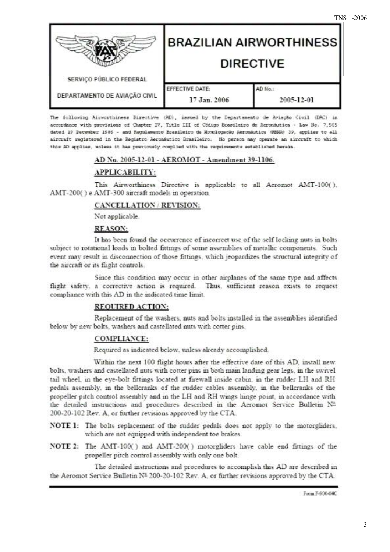| SERVIÇO PÚBLICO FEDERAL       | <b>BRAZILIAN AIRWORTHINESS</b><br><b>DIRECTIVE</b> |                       |
|-------------------------------|----------------------------------------------------|-----------------------|
| DEPARTAMENTO DE AVIAÇÃO CIVIL | EFFECTIVE DATE:<br>17 Jan. 2006                    | AD No.:<br>2005-12-01 |

The following Airworthiness Directive (AD), issued by the Departamento de Aviação Civil (DAC) in accordance with provisions of Chapter IV, Title III of Código Brasileiro de Aeronáutica - Law No. 7.565 dated 19 December 1986 - and Regulamento Brasileiro de Monologação Aeronáutica (RENGA) 39, applies to all aircraft registered in the Registro Aeronautico Brasileiro. Ho person may operate an aircraft to which this AD applies, unless it has previously couplied with the requirements established herein.

# AD No. 2005-12-01 - AEROMOT - Amendment 39-1106.

# APPLICABILITY:

This Airworthiness Directive is applicable to all Aeromot AMT-100(), AMT-200() e AMT-300 aircraft models in operation.

#### CANCELLATION / REVISION:

Not applicable.

#### **REASON:**

It has been found the occurrence of incorrect use of the self-locking nuts in bolts subject to rotational loads in bolted fittings of some assemblies of metallic components. Such event may result in disconnection of those fittings, which jeopardizes the structural integrity of the aircraft or its flight controls.

Since this condition may occur in other airplanes of the same type and affects flight safety, a corrective action is required. Thus, sufficient reason exists to request compliance with this AD in the indicated time limit.

# **REQUIRED ACTION:**

Replacement of the washers, nuts and bolts installed in the assemblies identified below by new bolts, washers and castellated nuts with cotter pins.

## **COMPLIANCE:**

Required as indicated below, unless already accomplished.

Within the next 100 flight hours after the effective date of this AD, install new bolts, washers and castellated nuts with cotter pins in both main landing gear legs, in the swivel tail wheel, in the eve-bolt fittings located at firewall inside cabin, in the rudder LH and RH pedals assembly, in the bellcranks of the rudder cables assembly, in the bellcranks of the propeller pitch control assembly and in the LH and RH wings hinge point, in accordance with the detailed instructions and procedures described in the Aeromot Service Bulletin Nº 200-20-102 Rev. A. or further revisions approved by the CTA.

NOTE 1: The bolts replacement of the rudder pedals does not apply to the motorgliders. which are not equipped with independent toe brakes.

NOTE 2: The AMT-100() and AMT-200() motorgliders have cable end fittings of the propeller pitch control assembly with only one bolt.

The detailed instructions and procedures to accomplish this AD are described in the Aeromot Service Bulletin Nº 200-20-102 Rev. A, or further revisions approved by the CTA.

Form F-900-04C

**TNS 1-2006**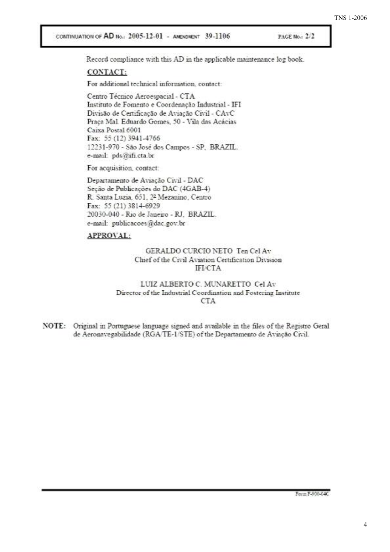CONTINUATION OF AD No.: 2005-12-01 - AMENDMENT 39-1106

PAGE No.: 2/2

Record compliance with this AD in the applicable maintenance log book.

#### CONTACT:

For additional technical information, contact:

Centro Técnico Aeroespacial - CTA Instituto de Fomento e Coordenação Industrial - IFI Divisão de Certificação de Aviação Civil - CAvC Praça Mal. Eduardo Gomes, 50 - Vila das Acácias Caixa Postal 6001 Fax: 55 (12) 3941-4766 12231-970 - São José dos Campos - SP. BRAZIL. e-mail: pds@ifi.cta.br

For acquisition, contact:

Departamento de Aviação Civil - DAC Seção de Publicações do DAC (4GAB-4) R. Santa Luzia, 651, 2º Mezanino, Centro Fax: 55 (21) 3814-6929 20030-040 - Rio de Janeiro - RJ. BRAZIL. e-mail: publicacoes@dac.gov.br

#### APPROVAL:

#### GERALDO CURCIO NETO Ten Cel Av Chief of the Civil Aviation Certification Division **IFI/CTA**

#### LUIZ ALBERTO C. MUNARETTO Cel Av Director of the Industrial Coordination and Fostering Institute **CTA**

NOTE: Original in Portuguese language signed and available in the files of the Registro Geral de Aeronavegabilidade (RGA/TE-1/STE) of the Departamento de Aviação Civil.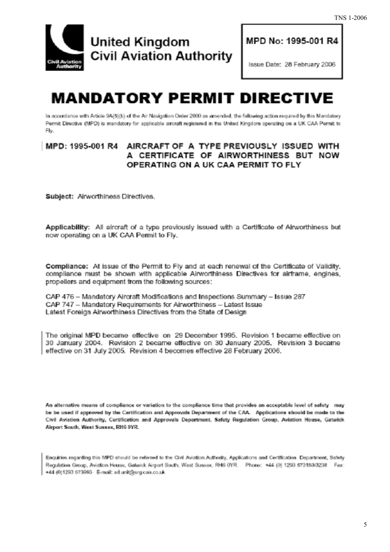

MPD No: 1995-001 R4

Issue Date: 28 February 2006

# **MANDATORY PERMIT DIRECTIVE**

In accordance with Article 9A(5)(b) of the Air Navigation Order 2000 as amended, the following action required by this Mandatory Permit Directive (MPD) is mandatory for applicable aircraft registered in the United Kingdom operating on a UK CAA Permit to Fly.

# MPD: 1995-001 R4 AIRCRAFT OF A TYPE PREVIOUSLY ISSUED WITH A CERTIFICATE OF AIRWORTHINESS BUT NOW OPERATING ON A UK CAA PERMIT TO FLY

Subject: Airworthiness Directives.

Applicability: All aircraft of a type previously issued with a Certificate of Airworthiness but now operating on a UK CAA Permit to Fly.

Compliance: At issue of the Permit to Fly and at each renewal of the Certificate of Validity, compliance must be shown with applicable Airworthiness Directives for airframe, engines, propellers and equipment from the following sources:

CAP 476 - Mandatory Aircraft Modifications and Inspections Summary - Issue 287 CAP 747 - Mandatory Requirements for Airworthiness - Latest Issue Latest Foreign Airworthiness Directives from the State of Design

The original MPD became effective on 29 December 1995. Revision 1 became effective on 30 January 2004. Revision 2 became effective on 30 January 2005. Revision 3 became effective on 31 July 2005. Revision 4 becomes effective 28 February 2006.

An alternative means of compliance or variation to the compliance time that provides an acceptable level of safety may be be used if approved by the Certification and Approvals Department of the CAA. Applications should be made to the Civil Aviation Authority, Certification and Approvals Department, Safety Regulation Group, Aviation House, Gatwick Airport South, West Sussex, RH6 0YR.

Enquiries regarding this MPD should be referred to the Civil Aviation Authority, Applications and Certification Department, Safety Regulation Group, Aviation House, Gatwick Airport South, West Sussex, RH6 0YR. Phone: +44 (0) 1293 573159/3238 Fax: +44 (0)1293 573993 E-mail: ad.unit@srg.caa.co.uk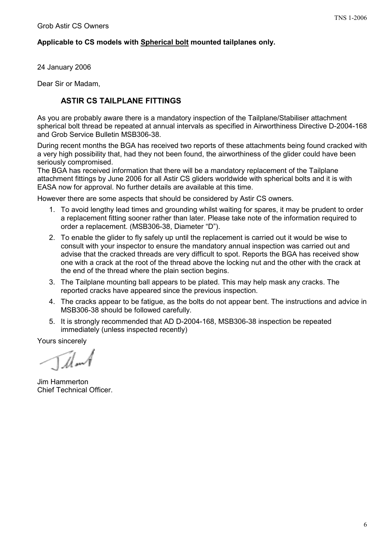# **Applicable to CS models with Spherical bolt mounted tailplanes only.**

24 January 2006

Dear Sir or Madam,

# **ASTIR CS TAILPLANE FITTINGS**

As you are probably aware there is a mandatory inspection of the Tailplane/Stabiliser attachment spherical bolt thread be repeated at annual intervals as specified in Airworthiness Directive D-2004-168 and Grob Service Bulletin MSB306-38.

During recent months the BGA has received two reports of these attachments being found cracked with a very high possibility that, had they not been found, the airworthiness of the glider could have been seriously compromised.

The BGA has received information that there will be a mandatory replacement of the Tailplane attachment fittings by June 2006 for all Astir CS gliders worldwide with spherical bolts and it is with EASA now for approval. No further details are available at this time.

However there are some aspects that should be considered by Astir CS owners.

- 1. To avoid lengthy lead times and grounding whilst waiting for spares, it may be prudent to order a replacement fitting sooner rather than later. Please take note of the information required to order a replacement. (MSB306-38, Diameter "D").
- 2. To enable the glider to fly safely up until the replacement is carried out it would be wise to consult with your inspector to ensure the mandatory annual inspection was carried out and advise that the cracked threads are very difficult to spot. Reports the BGA has received show one with a crack at the root of the thread above the locking nut and the other with the crack at the end of the thread where the plain section begins.
- 3. The Tailplane mounting ball appears to be plated. This may help mask any cracks. The reported cracks have appeared since the previous inspection.
- 4. The cracks appear to be fatigue, as the bolts do not appear bent. The instructions and advice in MSB306-38 should be followed carefully.
- 5. It is strongly recommended that AD D-2004-168, MSB306-38 inspection be repeated immediately (unless inspected recently)

Yours sincerely

T*ilm* 1

Jim Hammerton Chief Technical Officer.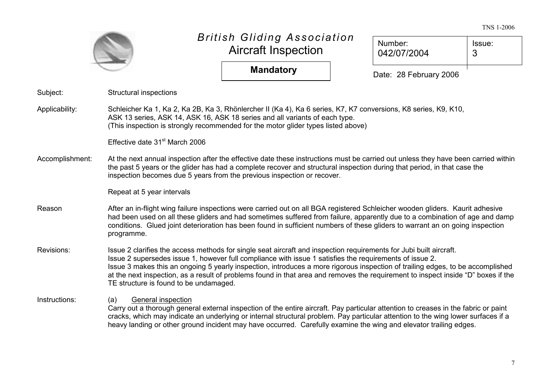#### TNS 1-2006

|                 |                                                                                                                                                                                                                                                                                                                                                                                                                                                                                                                                                |                                                                                                                                                                                                                                                                                                                                                                                               |  |                        | 1110122000  |  |
|-----------------|------------------------------------------------------------------------------------------------------------------------------------------------------------------------------------------------------------------------------------------------------------------------------------------------------------------------------------------------------------------------------------------------------------------------------------------------------------------------------------------------------------------------------------------------|-----------------------------------------------------------------------------------------------------------------------------------------------------------------------------------------------------------------------------------------------------------------------------------------------------------------------------------------------------------------------------------------------|--|------------------------|-------------|--|
|                 |                                                                                                                                                                                                                                                                                                                                                                                                                                                                                                                                                | <b>British Gliding Association</b><br><b>Aircraft Inspection</b>                                                                                                                                                                                                                                                                                                                              |  | Number:<br>042/07/2004 | Issue:<br>3 |  |
|                 |                                                                                                                                                                                                                                                                                                                                                                                                                                                                                                                                                | <b>Mandatory</b>                                                                                                                                                                                                                                                                                                                                                                              |  | Date: 28 February 2006 |             |  |
| Subject:        | <b>Structural inspections</b>                                                                                                                                                                                                                                                                                                                                                                                                                                                                                                                  |                                                                                                                                                                                                                                                                                                                                                                                               |  |                        |             |  |
| Applicability:  |                                                                                                                                                                                                                                                                                                                                                                                                                                                                                                                                                | Schleicher Ka 1, Ka 2, Ka 2B, Ka 3, Rhönlercher II (Ka 4), Ka 6 series, K7, K7 conversions, K8 series, K9, K10,<br>ASK 13 series, ASK 14, ASK 16, ASK 18 series and all variants of each type.<br>(This inspection is strongly recommended for the motor glider types listed above)                                                                                                           |  |                        |             |  |
|                 | Effective date 31 <sup>st</sup> March 2006                                                                                                                                                                                                                                                                                                                                                                                                                                                                                                     |                                                                                                                                                                                                                                                                                                                                                                                               |  |                        |             |  |
| Accomplishment: | At the next annual inspection after the effective date these instructions must be carried out unless they have been carried within<br>the past 5 years or the glider has had a complete recover and structural inspection during that period, in that case the<br>inspection becomes due 5 years from the previous inspection or recover.                                                                                                                                                                                                      |                                                                                                                                                                                                                                                                                                                                                                                               |  |                        |             |  |
|                 | Repeat at 5 year intervals                                                                                                                                                                                                                                                                                                                                                                                                                                                                                                                     |                                                                                                                                                                                                                                                                                                                                                                                               |  |                        |             |  |
| Reason          | After an in-flight wing failure inspections were carried out on all BGA registered Schleicher wooden gliders. Kaurit adhesive<br>had been used on all these gliders and had sometimes suffered from failure, apparently due to a combination of age and damp<br>conditions. Glued joint deterioration has been found in sufficient numbers of these gliders to warrant an on going inspection<br>programme.                                                                                                                                    |                                                                                                                                                                                                                                                                                                                                                                                               |  |                        |             |  |
| Revisions:      | Issue 2 clarifies the access methods for single seat aircraft and inspection requirements for Jubi built aircraft.<br>Issue 2 supersedes issue 1, however full compliance with issue 1 satisfies the requirements of issue 2.<br>Issue 3 makes this an ongoing 5 yearly inspection, introduces a more rigorous inspection of trailing edges, to be accomplished<br>at the next inspection, as a result of problems found in that area and removes the requirement to inspect inside "D" boxes if the<br>TE structure is found to be undamaged. |                                                                                                                                                                                                                                                                                                                                                                                               |  |                        |             |  |
| Instructions:   | General inspection<br>(a)                                                                                                                                                                                                                                                                                                                                                                                                                                                                                                                      | Carry out a thorough general external inspection of the entire aircraft. Pay particular attention to creases in the fabric or paint<br>cracks, which may indicate an underlying or internal structural problem. Pay particular attention to the wing lower surfaces if a<br>heavy landing or other ground incident may have occurred. Carefully examine the wing and elevator trailing edges. |  |                        |             |  |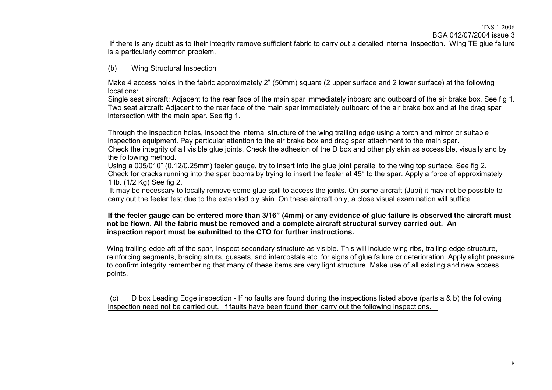#### TNS 1-2006

BGA 042/07/2004 issue 3

If there is any doubt as to their integrity remove sufficient fabric to carry out <sup>a</sup> detailed internal inspection. Wing TE glue failure is a particularly common problem.

## (b) Wing Structural Inspection

Make 4 access holes in the fabric approximately 2" (50mm) square (2 upper surface and 2 lower surface) at the following locations:

Single seat aircraft: Adjacent to the rear face of the main spar immediately inboard and outboard of the air brake box. See fig 1. Two seat aircraft: Adjacent to the rear face of the main spar immediately outboard of the air brake box and at the drag spar intersection with the main spar. See fig 1.

Through the inspection holes, inspect the internal structure of the wing trailing edge using <sup>a</sup> torch and mirror or suitable inspection equipment. Pay particular attention to the air brake box and drag spar attachment to the main spar. Check the integrity of all visible glue joints. Check the adhesion of the D box and other ply skin as accessible, visually and by the following method.

Using <sup>a</sup> 005/010" (0.12/0.25mm) feeler gauge, try to insert into the glue joint parallel to the wing top surface. See fig 2. Check for cracks running into the spar booms by trying to insert the feeler at 45° to the spar. Apply <sup>a</sup> force of approximately 1 lb. (1/2 Kg) See fig 2.

It may be necessary to locally remove some glue spill to access the joints. On some aircraft (Jubi) it may not be possible to carry out the feeler test due to the extended ply skin. On these aircraft only, <sup>a</sup> close visual examination will suffice.

#### If the feeler gauge can be entered more than 3/16" (4mm) or any evidence of glue failure is observed the aircraft must not be flown. All the fabric must be removed and a complete aircraft structural survey carried out. An **inspection report must be submitted to the CTO for further instructions.**

Wing trailing edge aft of the spar, Inspect secondary structure as visible. This will include wing ribs, trailing edge structure, reinforcing segments, bracing struts, gussets, and intercostals etc. for signs of glue failure or deterioration. Apply slight pressure to confirm integrity remembering that many of these items are very light structure. Make use of all existing and new access points.

(c) D box Leading Edge inspection - If no faults are found during the inspections listed above (parts <sup>a</sup> & b) the following inspection need not be carried out. If faults have been found then carry out the following inspections. \_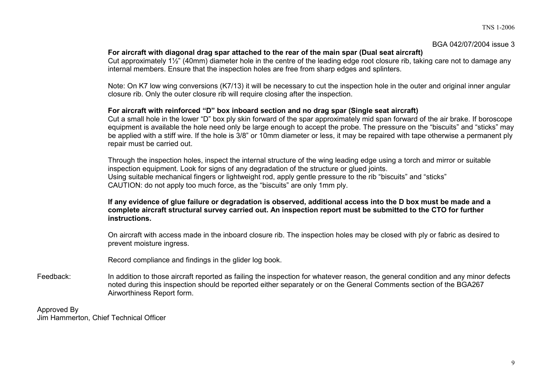#### BGA 042/07/2004 issue 3

## **For aircraft with diagonal drag spar attached to the rear of the main spar (Dual seat aircraft)**

Cut approximately 1½" (40mm) diameter hole in the centre of the leading edge root closure rib, taking care not to damage any internal members. Ensure that the inspection holes are free from sharp edges and splinters.

Note: On K7 low wing conversions (K7/13) it will be necessary to cut the inspection hole in the outer and original inner angular closure rib. Only the outer closure rib will require closing after the inspection.

### **For aircraft with reinforced "D" box inboard section and no drag spar (Single seat aircraft)**

Cut a small hole in the lower "D" box ply skin forward of the spar approximately mid span forward of the air brake. If boroscope equipment is available the hole need only be large enough to accept the probe. The pressure on the "biscuits" and "sticks" may be applied with <sup>a</sup> stiff wire. If the hole is 3/8" or 10mm diameter or less, it may be repaired with tape otherwise <sup>a</sup> permanent ply repair must be carried out.

Through the inspection holes, inspect the internal structure of the wing leading edge using <sup>a</sup> torch and mirror or suitable inspection equipment. Look for signs of any degradation of the structure or glued joints. Using suitable mechanical fingers or lightweight rod, apply gentle pressure to the rib "biscuits" and "sticks" CAUTION: do not apply too much force, as the "biscuits" are only 1mm ply.

#### If any evidence of glue failure or degradation is observed, additional access into the D box must be made and a complete aircraft structural survey carried out. An inspection report must be submitted to the CTO for further **instructions.**

On aircraft with access made in the inboard closure rib. The inspection holes may be closed with ply or fabric as desired to prevent moisture ingress.

Record compliance and findings in the glider log book.

Feedback: In addition to those aircraft reported as failing the inspection for whatever reason, the general condition and any minor defects noted during this inspection should be reported either separately or on the General Comments section of the BGA267 Airworthiness Report form.

Approved By Jim Hammerton, Chief Technical Officer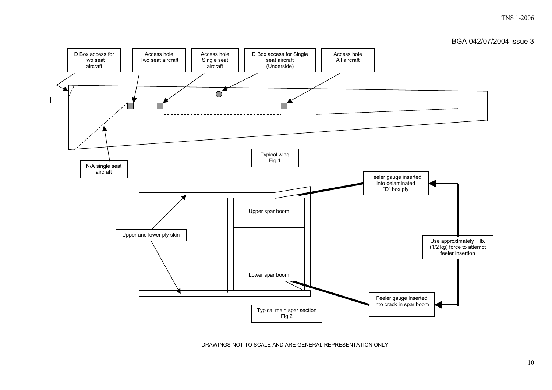#### TNS 1-2006





DRAWINGS NOT TO SCALE AND ARE GENERAL REPRESENTATION ONLY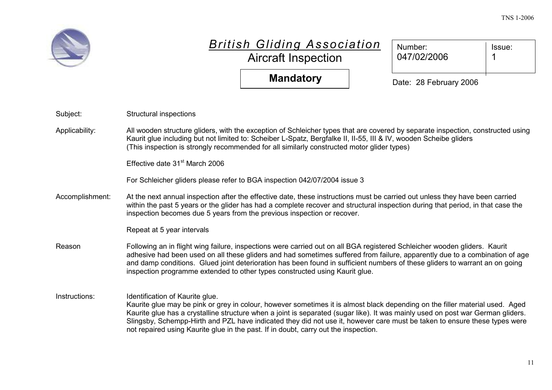

# *British Gl iding Association*

Aircraft Inspection

| Number:<br>047/02/2006 | Issue: |
|------------------------|--------|
|                        |        |

**Mandatory**

Date: 28 February 2006

| Subject:        | Structural inspections                                                                                                                                                                                                                                                                                                                                                                                                                                                                                                 |
|-----------------|------------------------------------------------------------------------------------------------------------------------------------------------------------------------------------------------------------------------------------------------------------------------------------------------------------------------------------------------------------------------------------------------------------------------------------------------------------------------------------------------------------------------|
| Applicability:  | All wooden structure gliders, with the exception of Schleicher types that are covered by separate inspection, constructed using<br>Kaurit glue including but not limited to: Scheiber L-Spatz, Bergfalke II, II-55, III & IV, wooden Scheibe gliders<br>(This inspection is strongly recommended for all similarly constructed motor glider types)                                                                                                                                                                     |
|                 | Effective date 31 <sup>st</sup> March 2006                                                                                                                                                                                                                                                                                                                                                                                                                                                                             |
|                 | For Schleicher gliders please refer to BGA inspection 042/07/2004 issue 3                                                                                                                                                                                                                                                                                                                                                                                                                                              |
| Accomplishment: | At the next annual inspection after the effective date, these instructions must be carried out unless they have been carried<br>within the past 5 years or the glider has had a complete recover and structural inspection during that period, in that case the<br>inspection becomes due 5 years from the previous inspection or recover.                                                                                                                                                                             |
|                 | Repeat at 5 year intervals                                                                                                                                                                                                                                                                                                                                                                                                                                                                                             |
| Reason          | Following an in flight wing failure, inspections were carried out on all BGA registered Schleicher wooden gliders. Kaurit<br>adhesive had been used on all these gliders and had sometimes suffered from failure, apparently due to a combination of age<br>and damp conditions. Glued joint deterioration has been found in sufficient numbers of these gliders to warrant an on going<br>inspection programme extended to other types constructed using Kaurit glue.                                                 |
| Instructions:   | Identification of Kaurite glue.<br>Kaurite glue may be pink or grey in colour, however sometimes it is almost black depending on the filler material used. Aged<br>Kaurite glue has a crystalline structure when a joint is separated (sugar like). It was mainly used on post war German gliders.<br>Slingsby, Schempp-Hirth and PZL have indicated they did not use it, however care must be taken to ensure these types were<br>not repaired using Kaurite glue in the past. If in doubt, carry out the inspection. |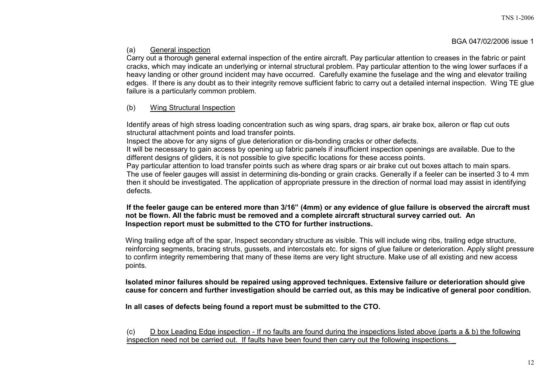BGA 047/02/2006 issue 1

# (a) General inspection

Carry out <sup>a</sup> thorough general external inspection of the entire aircraft. Pay particular attention to creases in the fabric or paint cracks, which may indicate an underlying or internal structural problem. Pay particular attention to the wing lower surfaces if <sup>a</sup> heavy landing or other ground incident may have occurred. Carefully examine the fuselage and the wing and elevator trailing edges. If there is any doubt as to their integrity remove sufficient fabric to carry out <sup>a</sup> detailed internal inspection. Wing TE glue failure is <sup>a</sup> particularly common problem.

# (b) Wing Structural Inspection

Identify areas of high stress loading concentration such as wing spars, drag spars, air brake box, aileron or flap cut outs structural attachment points and load transfer points.

Inspect the above for any signs of glue deterioration or dis-bonding cracks or other defects.

It will be necessary to gain access by opening up fabric panels if insufficient inspection openings are available. Due to the different designs of gliders, it is not possible to give specific locations for these access points.

Pay particular attention to load transfer points such as where drag spars or air brake cut out boxes attach to main spars. The use of feeler gauges will assist in determining dis-bonding or grain cracks. Generally if <sup>a</sup> feeler can be inserted 3 to 4 mm then it should be investigated. The application of appropriate pressure in the direction of normal load may assist in identifying defects.

## If the feeler gauge can be entered more than 3/16" (4mm) or any evidence of glue failure is observed the aircraft must not be flown. All the fabric must be removed and a complete aircraft structural survey carried out. An **Inspection report must be submitted to the CTO for further instructions.**

Wing trailing edge aft of the spar, Inspect secondary structure as visible. This will include wing ribs, trailing edge structure, reinforcing segments, bracing struts, gussets, and intercostals etc. for signs of glue failure or deterioration. Apply slight pressure to confirm integrity remembering that many of these items are very light structure. Make use of all existing and new access points.

**Isolated minor failures should be repaired using approved techniques. Extensive failure or deterioration should give** cause for concern and further investigation should be carried out, as this may be indicative of general poor condition.

**In all cases of defects being found <sup>a</sup> report must be submitted to the CTO.**

(c) D box Leading Edge inspection - If no faults are found during the inspections listed above (parts <sup>a</sup> & b) the following inspection need not be carried out. If faults have been found then carry out the following inspections.